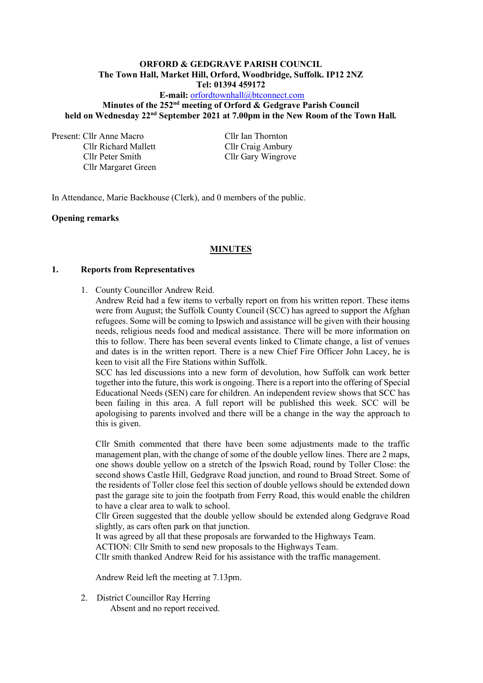#### **ORFORD & GEDGRAVE PARISH COUNCIL The Town Hall, Market Hill, Orford, Woodbridge, Suffolk. IP12 2NZ Tel: 01394 459172**

# **E-mail:** [orfordtownhall@btconnect.com](mailto:orfordtownhall@btconnect.com) Minutes of the 252<sup>nd</sup> meeting of Orford & Gedgrave Parish Council **held on Wednesday 22nd September 2021 at 7.00pm in the New Room of the Town Hall***.*

Present: Cllr Anne Macro Cllr Ian Thornton

Cllr Richard Mallett Cllr Craig Ambury Cllr Peter Smith Cllr Gary Wingrove Cllr Margaret Green

In Attendance, Marie Backhouse (Clerk), and 0 members of the public.

## **Opening remarks**

# **MINUTES**

#### **1. Reports from Representatives**

1. County Councillor Andrew Reid.

Andrew Reid had a few items to verbally report on from his written report. These items were from August; the Suffolk County Council (SCC) has agreed to support the Afghan refugees. Some will be coming to Ipswich and assistance will be given with their housing needs, religious needs food and medical assistance. There will be more information on this to follow. There has been several events linked to Climate change, a list of venues and dates is in the written report. There is a new Chief Fire Officer John Lacey, he is keen to visit all the Fire Stations within Suffolk.

SCC has led discussions into a new form of devolution, how Suffolk can work better together into the future, this work is ongoing. There is a report into the offering of Special Educational Needs (SEN) care for children. An independent review shows that SCC has been failing in this area. A full report will be published this week. SCC will be apologising to parents involved and there will be a change in the way the approach to this is given.

Cllr Smith commented that there have been some adjustments made to the traffic management plan, with the change of some of the double yellow lines. There are 2 maps, one shows double yellow on a stretch of the Ipswich Road, round by Toller Close: the second shows Castle Hill, Gedgrave Road junction, and round to Broad Street. Some of the residents of Toller close feel this section of double yellows should be extended down past the garage site to join the footpath from Ferry Road, this would enable the children to have a clear area to walk to school.

Cllr Green suggested that the double yellow should be extended along Gedgrave Road slightly, as cars often park on that junction.

It was agreed by all that these proposals are forwarded to the Highways Team.

ACTION: Cllr Smith to send new proposals to the Highways Team.

Cllr smith thanked Andrew Reid for his assistance with the traffic management.

Andrew Reid left the meeting at 7.13pm.

2. District Councillor Ray Herring Absent and no report received.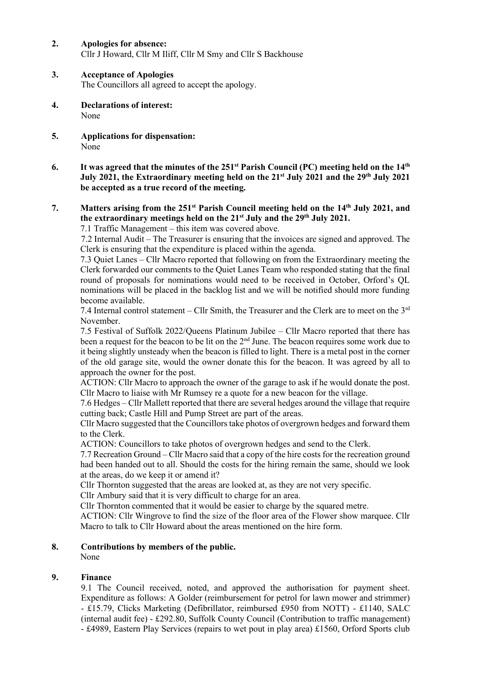- **2. Apologies for absence:** Cllr J Howard, Cllr M Iliff, Cllr M Smy and Cllr S Backhouse
- **3. Acceptance of Apologies**

The Councillors all agreed to accept the apology.

- **4. Declarations of interest:** None
- **5. Applications for dispensation:** None
- **6. It was agreed that the minutes of the 251 st Parish Council (PC) meeting held on the 14th July 2021, the Extraordinary meeting held on the 21st July 2021 and the 29th July 2021 be accepted as a true record of the meeting.**

# **7. Matters arising from the 251 st Parish Council meeting held on the 14th July 2021, and the extraordinary meetings held on the 21st July and the 29th July 2021.**

7.1 Traffic Management – this item was covered above.

7.2 Internal Audit – The Treasurer is ensuring that the invoices are signed and approved. The Clerk is ensuring that the expenditure is placed within the agenda.

7.3 Quiet Lanes – Cllr Macro reported that following on from the Extraordinary meeting the Clerk forwarded our comments to the Quiet Lanes Team who responded stating that the final round of proposals for nominations would need to be received in October, Orford's QL nominations will be placed in the backlog list and we will be notified should more funding become available.

7.4 Internal control statement – Cllr Smith, the Treasurer and the Clerk are to meet on the 3rd November.

7.5 Festival of Suffolk 2022/Queens Platinum Jubilee – Cllr Macro reported that there has been a request for the beacon to be lit on the  $2<sup>nd</sup>$  June. The beacon requires some work due to it being slightly unsteady when the beacon is filled to light. There is a metal post in the corner of the old garage site, would the owner donate this for the beacon. It was agreed by all to approach the owner for the post.

ACTION: Cllr Macro to approach the owner of the garage to ask if he would donate the post. Cllr Macro to liaise with Mr Rumsey re a quote for a new beacon for the village.

7.6 Hedges – Cllr Mallett reported that there are several hedges around the village that require cutting back; Castle Hill and Pump Street are part of the areas.

Cllr Macro suggested that the Councillors take photos of overgrown hedges and forward them to the Clerk.

ACTION: Councillors to take photos of overgrown hedges and send to the Clerk.

7.7 Recreation Ground – Cllr Macro said that a copy of the hire costs for the recreation ground had been handed out to all. Should the costs for the hiring remain the same, should we look at the areas, do we keep it or amend it?

Cllr Thornton suggested that the areas are looked at, as they are not very specific.

Cllr Ambury said that it is very difficult to charge for an area.

Cllr Thornton commented that it would be easier to charge by the squared metre.

ACTION: Cllr Wingrove to find the size of the floor area of the Flower show marquee. Cllr Macro to talk to Cllr Howard about the areas mentioned on the hire form.

# **8. Contributions by members of the public.**

None

# **9. Finance**

9.1 The Council received, noted, and approved the authorisation for payment sheet. Expenditure as follows: A Golder (reimbursement for petrol for lawn mower and strimmer) - £15.79, Clicks Marketing (Defibrillator, reimbursed £950 from NOTT) - £1140, SALC (internal audit fee) - £292.80, Suffolk County Council (Contribution to traffic management) - £4989, Eastern Play Services (repairs to wet pout in play area) £1560, Orford Sports club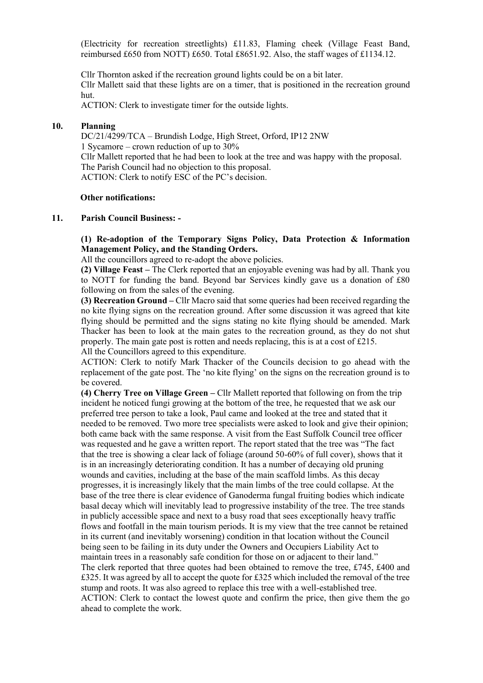(Electricity for recreation streetlights) £11.83, Flaming cheek (Village Feast Band, reimbursed £650 from NOTT) £650. Total £8651.92. Also, the staff wages of £1134.12.

Cllr Thornton asked if the recreation ground lights could be on a bit later. Cllr Mallett said that these lights are on a timer, that is positioned in the recreation ground hut.

ACTION: Clerk to investigate timer for the outside lights.

#### **10. Planning**

DC/21/4299/TCA – Brundish Lodge, High Street, Orford, IP12 2NW 1 Sycamore – crown reduction of up to 30% Cllr Mallett reported that he had been to look at the tree and was happy with the proposal. The Parish Council had no objection to this proposal. ACTION: Clerk to notify ESC of the PC's decision.

#### **Other notifications:**

#### **11. Parish Council Business: -**

**(1) Re-adoption of the Temporary Signs Policy, Data Protection & Information Management Policy, and the Standing Orders.**

All the councillors agreed to re-adopt the above policies.

**(2) Village Feast –** The Clerk reported that an enjoyable evening was had by all. Thank you to NOTT for funding the band. Beyond bar Services kindly gave us a donation of £80 following on from the sales of the evening.

**(3) Recreation Ground –** Cllr Macro said that some queries had been received regarding the no kite flying signs on the recreation ground. After some discussion it was agreed that kite flying should be permitted and the signs stating no kite flying should be amended. Mark Thacker has been to look at the main gates to the recreation ground, as they do not shut properly. The main gate post is rotten and needs replacing, this is at a cost of £215. All the Councillors agreed to this expenditure.

ACTION: Clerk to notify Mark Thacker of the Councils decision to go ahead with the replacement of the gate post. The 'no kite flying' on the signs on the recreation ground is to be covered.

**(4) Cherry Tree on Village Green –** Cllr Mallett reported that following on from the trip incident he noticed fungi growing at the bottom of the tree, he requested that we ask our preferred tree person to take a look, Paul came and looked at the tree and stated that it needed to be removed. Two more tree specialists were asked to look and give their opinion; both came back with the same response. A visit from the East Suffolk Council tree officer was requested and he gave a written report. The report stated that the tree was "The fact that the tree is showing a clear lack of foliage (around 50-60% of full cover), shows that it is in an increasingly deteriorating condition. It has a number of decaying old pruning wounds and cavities, including at the base of the main scaffold limbs. As this decay progresses, it is increasingly likely that the main limbs of the tree could collapse. At the base of the tree there is clear evidence of Ganoderma fungal fruiting bodies which indicate basal decay which will inevitably lead to progressive instability of the tree. The tree stands in publicly accessible space and next to a busy road that sees exceptionally heavy traffic flows and footfall in the main tourism periods. It is my view that the tree cannot be retained in its current (and inevitably worsening) condition in that location without the Council being seen to be failing in its duty under the Owners and Occupiers Liability Act to maintain trees in a reasonably safe condition for those on or adjacent to their land." The clerk reported that three quotes had been obtained to remove the tree, £745, £400 and £325. It was agreed by all to accept the quote for £325 which included the removal of the tree stump and roots. It was also agreed to replace this tree with a well-established tree. ACTION: Clerk to contact the lowest quote and confirm the price, then give them the go ahead to complete the work.